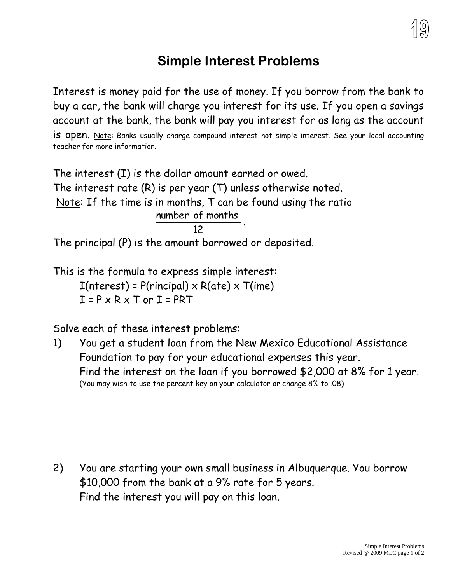

## **Simple Interest Problems**

Interest is money paid for the use of money. If you borrow from the bank to buy a car, the bank will charge you interest for its use. If you open a savings account at the bank, the bank will pay you interest for as long as the account is open. Note: Banks usually charge compound interest not simple interest. See your local accounting teacher for more information.

The interest (I) is the dollar amount earned or owed. The interest rate (R) is per year (T) unless otherwise noted. Note: If the time is in months, T can be found using the ratio 12 number of months .

The principal (P) is the amount borrowed or deposited.

This is the formula to express simple interest:  $I(nterest) = P(rincipal) \times R(ate) \times T(ime)$  $I = P \times R \times T$  or  $I = PRT$ 

Solve each of these interest problems:

1) You get a student loan from the New Mexico Educational Assistance Foundation to pay for your educational expenses this year. Find the interest on the loan if you borrowed \$2,000 at 8% for 1 year. (You may wish to use the percent key on your calculator or change 8% to .08)

2) You are starting your own small business in Albuquerque. You borrow \$10,000 from the bank at a 9% rate for 5 years. Find the interest you will pay on this loan.